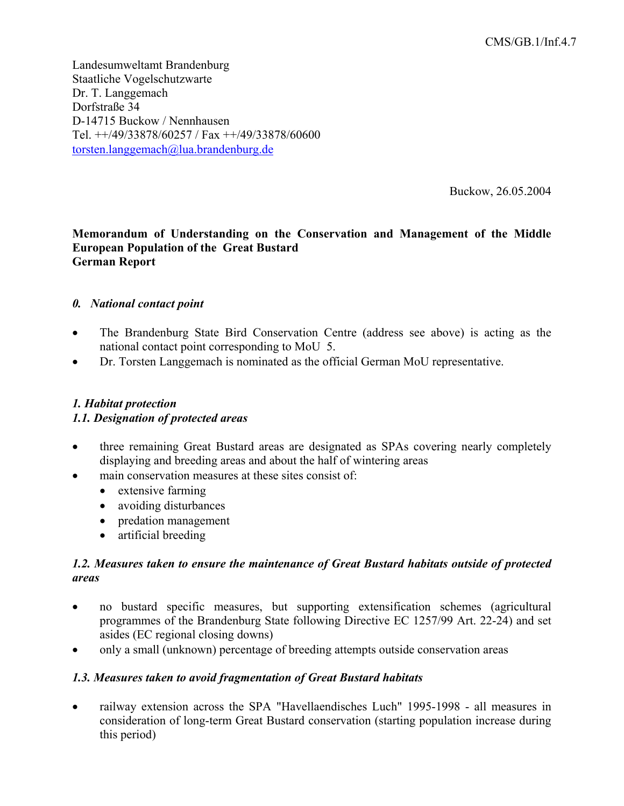Landesumweltamt Brandenburg Staatliche Vogelschutzwarte Dr. T. Langgemach Dorfstraße 34 D-14715 Buckow / Nennhausen Tel. ++/49/33878/60257 / Fax ++/49/33878/60600 torsten.langgemach@lua.brandenburg.de

Buckow, 26.05.2004

## **Memorandum of Understanding on the Conservation and Management of the Middle European Population of the Great Bustard German Report**

## *0. National contact point*

- The Brandenburg State Bird Conservation Centre (address see above) is acting as the national contact point corresponding to MoU 5.
- Dr. Torsten Langgemach is nominated as the official German MoU representative.

# *1. Habitat protection 1.1. Designation of protected areas*

- three remaining Great Bustard areas are designated as SPAs covering nearly completely displaying and breeding areas and about the half of wintering areas
- main conservation measures at these sites consist of:
	- extensive farming
	- avoiding disturbances
	- predation management
	- artificial breeding

#### *1.2. Measures taken to ensure the maintenance of Great Bustard habitats outside of protected areas*

- no bustard specific measures, but supporting extensification schemes (agricultural programmes of the Brandenburg State following Directive EC 1257/99 Art. 22-24) and set asides (EC regional closing downs)
- only a small (unknown) percentage of breeding attempts outside conservation areas

#### *1.3. Measures taken to avoid fragmentation of Great Bustard habitats*

• railway extension across the SPA "Havellaendisches Luch" 1995-1998 - all measures in consideration of long-term Great Bustard conservation (starting population increase during this period)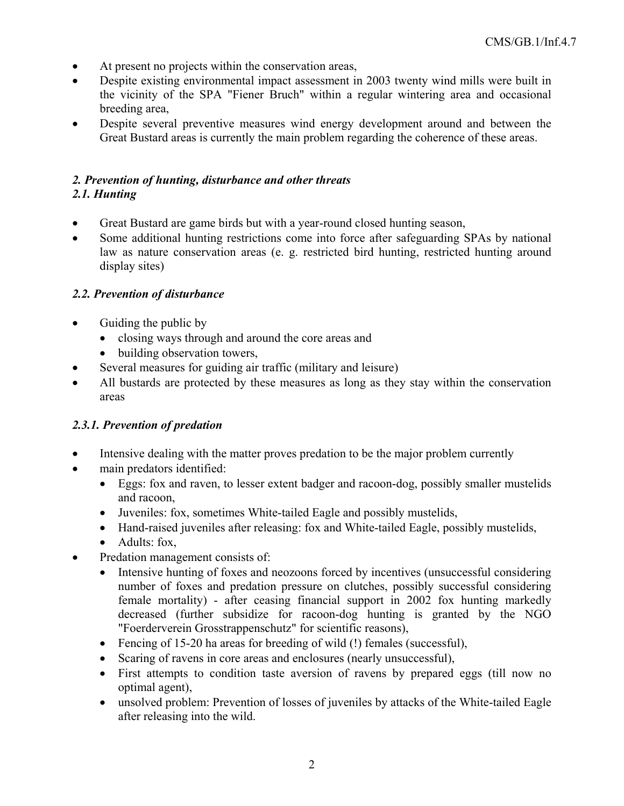- At present no projects within the conservation areas,
- Despite existing environmental impact assessment in 2003 twenty wind mills were built in the vicinity of the SPA "Fiener Bruch" within a regular wintering area and occasional breeding area,
- Despite several preventive measures wind energy development around and between the Great Bustard areas is currently the main problem regarding the coherence of these areas.

# *2. Prevention of hunting, disturbance and other threats 2.1. Hunting*

- Great Bustard are game birds but with a year-round closed hunting season,
- Some additional hunting restrictions come into force after safeguarding SPAs by national law as nature conservation areas (e. g. restricted bird hunting, restricted hunting around display sites)

# *2.2. Prevention of disturbance*

- Guiding the public by
	- closing ways through and around the core areas and
	- building observation towers,
- Several measures for guiding air traffic (military and leisure)
- All bustards are protected by these measures as long as they stay within the conservation areas

# *2.3.1. Prevention of predation*

- Intensive dealing with the matter proves predation to be the major problem currently
- main predators identified:
	- Eggs: fox and raven, to lesser extent badger and racoon-dog, possibly smaller mustelids and racoon,
	- Juveniles: fox, sometimes White-tailed Eagle and possibly mustelids,
	- Hand-raised juveniles after releasing: fox and White-tailed Eagle, possibly mustelids,
	- Adults: fox,
- Predation management consists of:
	- Intensive hunting of foxes and neozoons forced by incentives (unsuccessful considering number of foxes and predation pressure on clutches, possibly successful considering female mortality) - after ceasing financial support in 2002 fox hunting markedly decreased (further subsidize for racoon-dog hunting is granted by the NGO "Foerderverein Grosstrappenschutz" for scientific reasons),
	- Fencing of 15-20 ha areas for breeding of wild (!) females (successful),
	- Scaring of ravens in core areas and enclosures (nearly unsuccessful),
	- First attempts to condition taste aversion of ravens by prepared eggs (till now no optimal agent),
	- unsolved problem: Prevention of losses of juveniles by attacks of the White-tailed Eagle after releasing into the wild.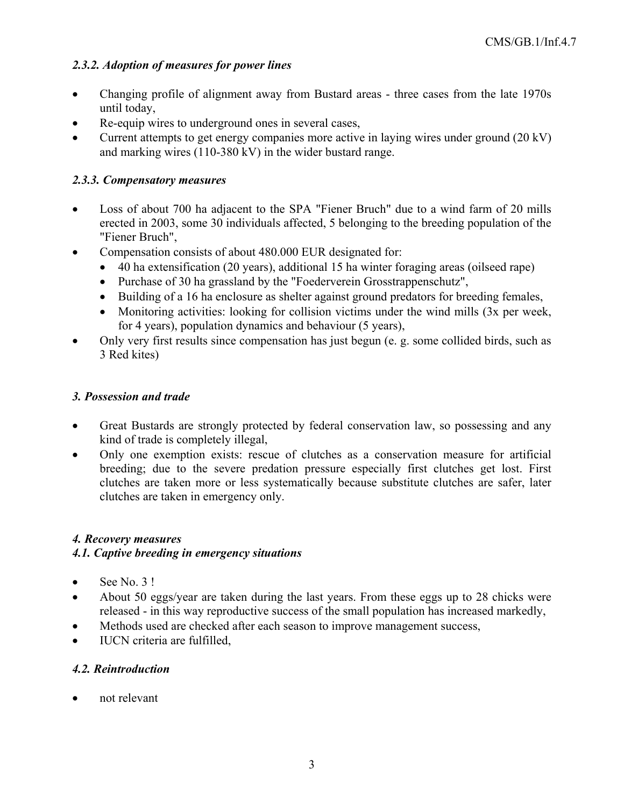# *2.3.2. Adoption of measures for power lines*

- Changing profile of alignment away from Bustard areas three cases from the late 1970s until today,
- Re-equip wires to underground ones in several cases,
- Current attempts to get energy companies more active in laying wires under ground (20 kV) and marking wires (110-380 kV) in the wider bustard range.

# *2.3.3. Compensatory measures*

- Loss of about 700 ha adjacent to the SPA "Fiener Bruch" due to a wind farm of 20 mills erected in 2003, some 30 individuals affected, 5 belonging to the breeding population of the "Fiener Bruch",
- Compensation consists of about 480.000 EUR designated for:
	- 40 ha extensification (20 years), additional 15 ha winter foraging areas (oilseed rape)
	- Purchase of 30 ha grassland by the "Foederverein Grosstrappenschutz",
	- Building of a 16 ha enclosure as shelter against ground predators for breeding females,
	- Monitoring activities: looking for collision victims under the wind mills (3x per week, for 4 years), population dynamics and behaviour (5 years),
- Only very first results since compensation has just begun (e. g. some collided birds, such as 3 Red kites)

## *3. Possession and trade*

- Great Bustards are strongly protected by federal conservation law, so possessing and any kind of trade is completely illegal,
- Only one exemption exists: rescue of clutches as a conservation measure for artificial breeding; due to the severe predation pressure especially first clutches get lost. First clutches are taken more or less systematically because substitute clutches are safer, later clutches are taken in emergency only.

# *4. Recovery measures*

## *4.1. Captive breeding in emergency situations*

- $\bullet$  See No. 3!
- About 50 eggs/year are taken during the last years. From these eggs up to 28 chicks were released - in this way reproductive success of the small population has increased markedly,
- Methods used are checked after each season to improve management success,
- IUCN criteria are fulfilled,

## *4.2. Reintroduction*

• not relevant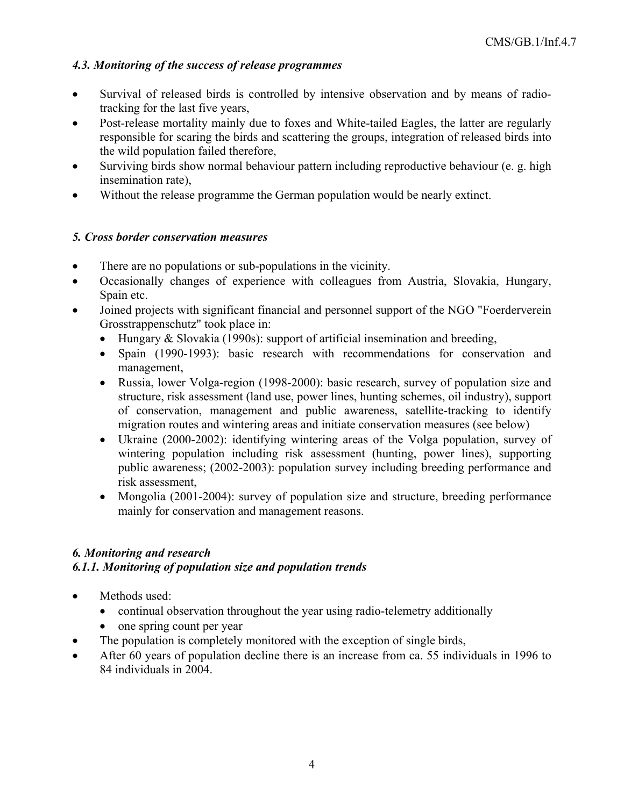# *4.3. Monitoring of the success of release programmes*

- Survival of released birds is controlled by intensive observation and by means of radiotracking for the last five years,
- Post-release mortality mainly due to foxes and White-tailed Eagles, the latter are regularly responsible for scaring the birds and scattering the groups, integration of released birds into the wild population failed therefore,
- Surviving birds show normal behaviour pattern including reproductive behaviour (e. g. high insemination rate),
- Without the release programme the German population would be nearly extinct.

# *5. Cross border conservation measures*

- There are no populations or sub-populations in the vicinity.
- Occasionally changes of experience with colleagues from Austria, Slovakia, Hungary, Spain etc.
- Joined projects with significant financial and personnel support of the NGO "Foerderverein Grosstrappenschutz" took place in:
	- Hungary & Slovakia (1990s): support of artificial insemination and breeding,
	- Spain (1990-1993): basic research with recommendations for conservation and management,
	- Russia, lower Volga-region (1998-2000): basic research, survey of population size and structure, risk assessment (land use, power lines, hunting schemes, oil industry), support of conservation, management and public awareness, satellite-tracking to identify migration routes and wintering areas and initiate conservation measures (see below)
	- Ukraine (2000-2002): identifying wintering areas of the Volga population, survey of wintering population including risk assessment (hunting, power lines), supporting public awareness; (2002-2003): population survey including breeding performance and risk assessment,
	- Mongolia (2001-2004): survey of population size and structure, breeding performance mainly for conservation and management reasons.

# *6. Monitoring and research*

# *6.1.1. Monitoring of population size and population trends*

- Methods used:
	- continual observation throughout the year using radio-telemetry additionally
	- one spring count per year
- The population is completely monitored with the exception of single birds,
- After 60 years of population decline there is an increase from ca. 55 individuals in 1996 to 84 individuals in 2004.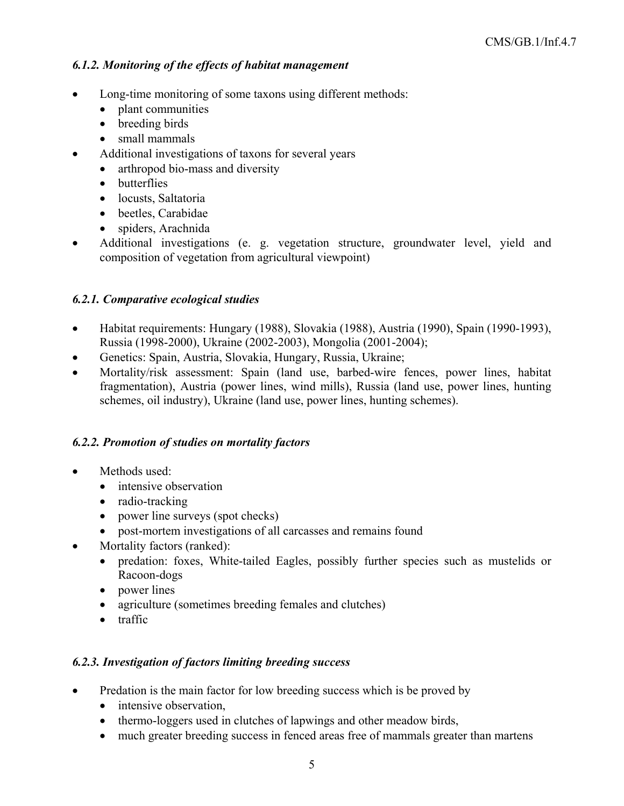# *6.1.2. Monitoring of the effects of habitat management*

- Long-time monitoring of some taxons using different methods:
	- plant communities
	- breeding birds
	- small mammals
- Additional investigations of taxons for several years
	- arthropod bio-mass and diversity
	- butterflies
	- locusts, Saltatoria
	- beetles, Carabidae
	- spiders, Arachnida
- Additional investigations (e. g. vegetation structure, groundwater level, yield and composition of vegetation from agricultural viewpoint)

# *6.2.1. Comparative ecological studies*

- Habitat requirements: Hungary (1988), Slovakia (1988), Austria (1990), Spain (1990-1993), Russia (1998-2000), Ukraine (2002-2003), Mongolia (2001-2004);
- Genetics: Spain, Austria, Slovakia, Hungary, Russia, Ukraine;
- Mortality/risk assessment: Spain (land use, barbed-wire fences, power lines, habitat fragmentation), Austria (power lines, wind mills), Russia (land use, power lines, hunting schemes, oil industry), Ukraine (land use, power lines, hunting schemes).

## *6.2.2. Promotion of studies on mortality factors*

- Methods used:
	- intensive observation
	- radio-tracking
	- power line surveys (spot checks)
	- post-mortem investigations of all carcasses and remains found
- Mortality factors (ranked):
	- predation: foxes, White-tailed Eagles, possibly further species such as mustelids or Racoon-dogs
	- power lines
	- agriculture (sometimes breeding females and clutches)
	- traffic

## *6.2.3. Investigation of factors limiting breeding success*

- Predation is the main factor for low breeding success which is be proved by
	- intensive observation,
	- thermo-loggers used in clutches of lapwings and other meadow birds,
	- much greater breeding success in fenced areas free of mammals greater than martens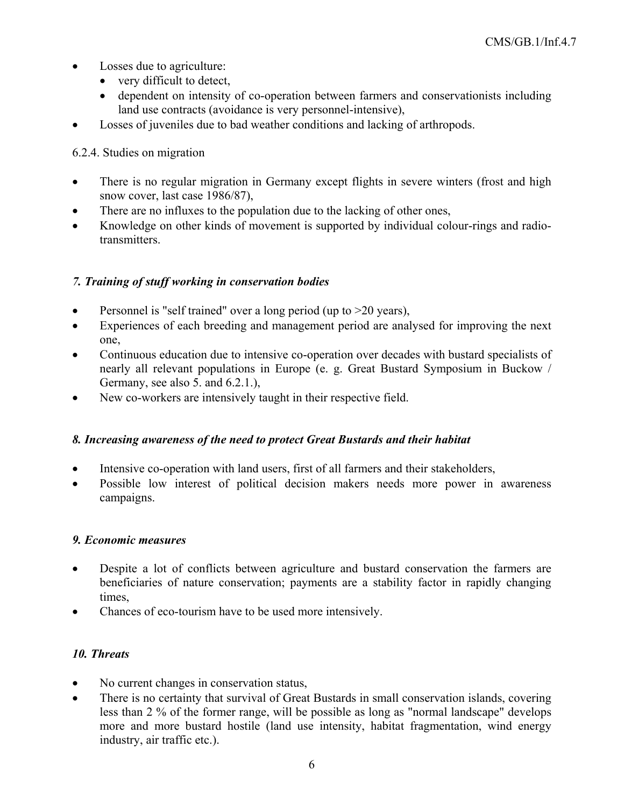- Losses due to agriculture:
	- very difficult to detect,
	- dependent on intensity of co-operation between farmers and conservationists including land use contracts (avoidance is very personnel-intensive),
- Losses of juveniles due to bad weather conditions and lacking of arthropods.

## 6.2.4. Studies on migration

- There is no regular migration in Germany except flights in severe winters (frost and high snow cover, last case 1986/87),
- There are no influxes to the population due to the lacking of other ones,
- Knowledge on other kinds of movement is supported by individual colour-rings and radio**transmitters**

## *7. Training of stuff working in conservation bodies*

- Personnel is "self trained" over a long period (up to  $>20$  years),
- Experiences of each breeding and management period are analysed for improving the next one,
- Continuous education due to intensive co-operation over decades with bustard specialists of nearly all relevant populations in Europe (e. g. Great Bustard Symposium in Buckow / Germany, see also 5. and 6.2.1.),
- New co-workers are intensively taught in their respective field.

## *8. Increasing awareness of the need to protect Great Bustards and their habitat*

- Intensive co-operation with land users, first of all farmers and their stakeholders,
- Possible low interest of political decision makers needs more power in awareness campaigns.

## *9. Economic measures*

- Despite a lot of conflicts between agriculture and bustard conservation the farmers are beneficiaries of nature conservation; payments are a stability factor in rapidly changing times,
- Chances of eco-tourism have to be used more intensively.

## *10. Threats*

- No current changes in conservation status,
- There is no certainty that survival of Great Bustards in small conservation islands, covering less than 2 % of the former range, will be possible as long as "normal landscape" develops more and more bustard hostile (land use intensity, habitat fragmentation, wind energy industry, air traffic etc.).